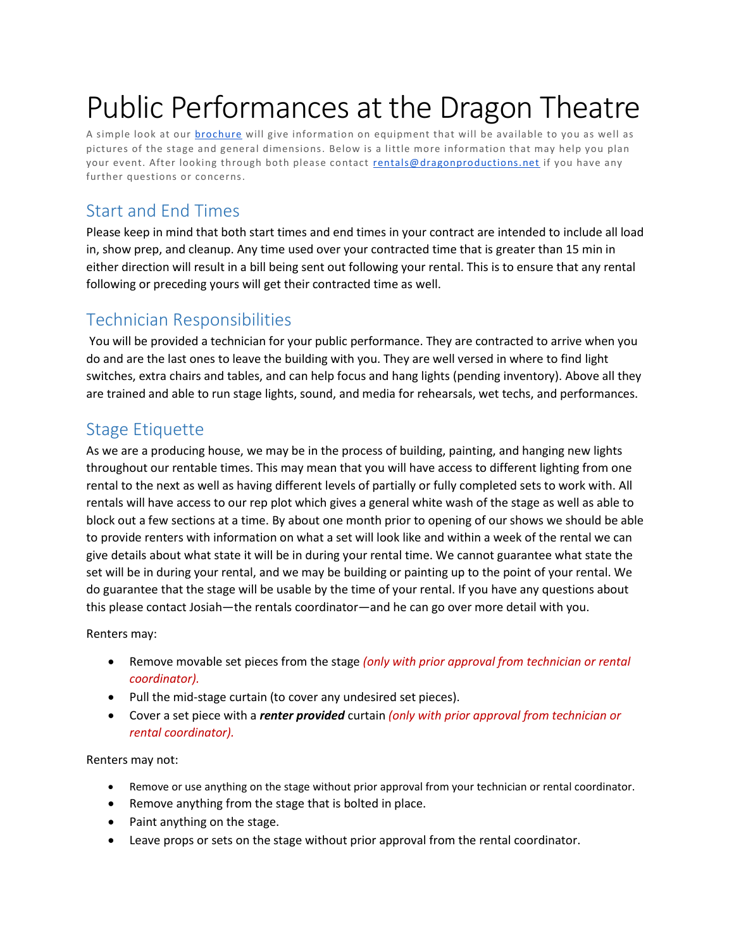# Public Performances at the Dragon Theatre

A simple look at our **brochure** will give information on equipment that will be available to you as well as pictures of the stage and general dimensions. Below is a little more information that may help you plan your event. After looking through both please contact [rentals@dragonproductions.net](mailto:rentals@dragonproductions.net) if you have any further questions or concerns.

#### Start and End Times

Please keep in mind that both start times and end times in your contract are intended to include all load in, show prep, and cleanup. Any time used over your contracted time that is greater than 15 min in either direction will result in a bill being sent out following your rental. This is to ensure that any rental following or preceding yours will get their contracted time as well.

## Technician Responsibilities

You will be provided a technician for your public performance. They are contracted to arrive when you do and are the last ones to leave the building with you. They are well versed in where to find light switches, extra chairs and tables, and can help focus and hang lights (pending inventory). Above all they are trained and able to run stage lights, sound, and media for rehearsals, wet techs, and performances.

## Stage Etiquette

As we are a producing house, we may be in the process of building, painting, and hanging new lights throughout our rentable times. This may mean that you will have access to different lighting from one rental to the next as well as having different levels of partially or fully completed sets to work with. All rentals will have access to our rep plot which gives a general white wash of the stage as well as able to block out a few sections at a time. By about one month prior to opening of our shows we should be able to provide renters with information on what a set will look like and within a week of the rental we can give details about what state it will be in during your rental time. We cannot guarantee what state the set will be in during your rental, and we may be building or painting up to the point of your rental. We do guarantee that the stage will be usable by the time of your rental. If you have any questions about this please contact Josiah—the rentals coordinator—and he can go over more detail with you.

Renters may:

- Remove movable set pieces from the stage *(only with prior approval from technician or rental coordinator).*
- Pull the mid-stage curtain (to cover any undesired set pieces).
- Cover a set piece with a *renter provided* curtain *(only with prior approval from technician or rental coordinator).*

Renters may not:

- Remove or use anything on the stage without prior approval from your technician or rental coordinator.
- Remove anything from the stage that is bolted in place.
- Paint anything on the stage.
- Leave props or sets on the stage without prior approval from the rental coordinator.